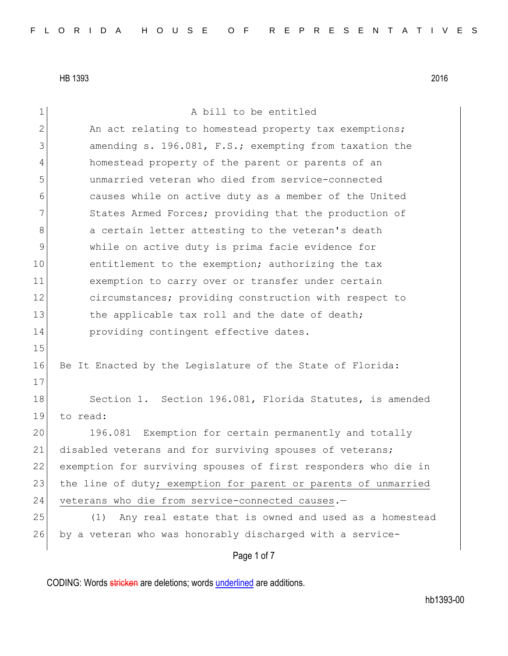Page 1 of 7 1 a bill to be entitled 2 An act relating to homestead property tax exemptions; 3 3 3 amending s. 196.081, F.S.; exempting from taxation the 4 homestead property of the parent or parents of an 5 unmarried veteran who died from service-connected 6 causes while on active duty as a member of the United 7 States Armed Forces; providing that the production of 8 a certain letter attesting to the veteran's death 9 while on active duty is prima facie evidence for 10 entitlement to the exemption; authorizing the tax 11 exemption to carry over or transfer under certain 12 circumstances; providing construction with respect to 13 the applicable tax roll and the date of death; 14 **providing contingent effective dates.** 15 16 Be It Enacted by the Legislature of the State of Florida: 17 18 Section 1. Section 196.081, Florida Statutes, is amended 19 to read: 20 196.081 Exemption for certain permanently and totally 21 disabled veterans and for surviving spouses of veterans; 22 exemption for surviving spouses of first responders who die in 23 the line of duty; exemption for parent or parents of unmarried 24 veterans who die from service-connected causes.-25 (1) Any real estate that is owned and used as a homestead 26 by a veteran who was honorably discharged with a service-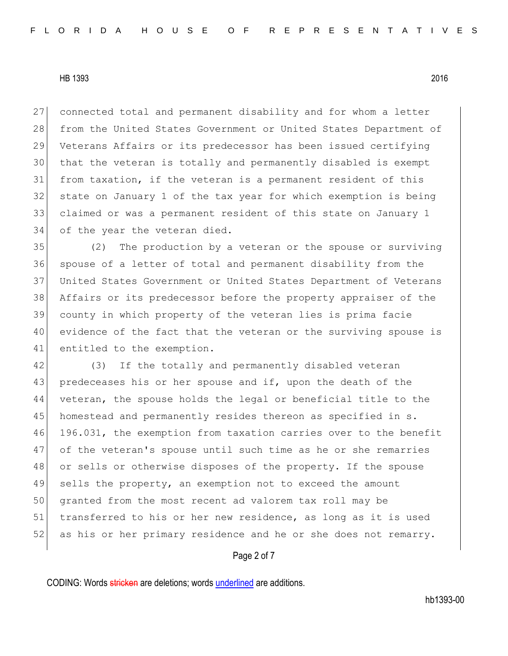connected total and permanent disability and for whom a letter 28 from the United States Government or United States Department of Veterans Affairs or its predecessor has been issued certifying that the veteran is totally and permanently disabled is exempt from taxation, if the veteran is a permanent resident of this state on January 1 of the tax year for which exemption is being claimed or was a permanent resident of this state on January 1 34 of the year the veteran died.

 (2) The production by a veteran or the spouse or surviving spouse of a letter of total and permanent disability from the United States Government or United States Department of Veterans Affairs or its predecessor before the property appraiser of the county in which property of the veteran lies is prima facie evidence of the fact that the veteran or the surviving spouse is 41 entitled to the exemption.

42 (3) If the totally and permanently disabled veteran 43 predeceases his or her spouse and if, upon the death of the 44 veteran, the spouse holds the legal or beneficial title to the 45 homestead and permanently resides thereon as specified in s. 46 196.031, the exemption from taxation carries over to the benefit 47 of the veteran's spouse until such time as he or she remarries 48 or sells or otherwise disposes of the property. If the spouse 49 sells the property, an exemption not to exceed the amount 50 granted from the most recent ad valorem tax roll may be 51 transferred to his or her new residence, as long as it is used 52 as his or her primary residence and he or she does not remarry.

#### Page 2 of 7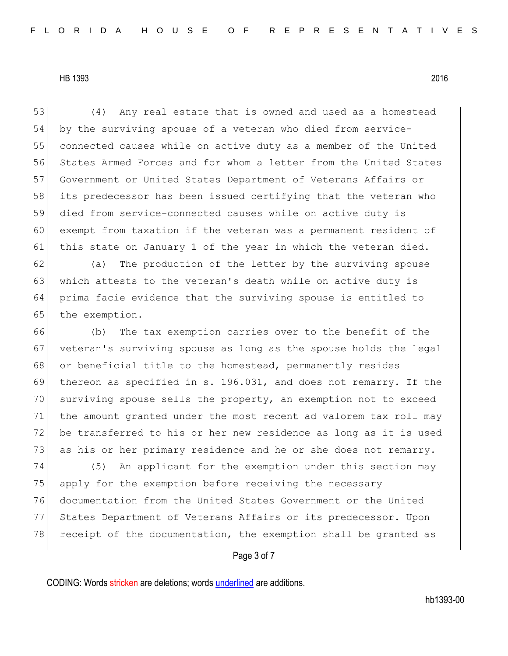(4) Any real estate that is owned and used as a homestead by the surviving spouse of a veteran who died from service- connected causes while on active duty as a member of the United States Armed Forces and for whom a letter from the United States Government or United States Department of Veterans Affairs or its predecessor has been issued certifying that the veteran who died from service-connected causes while on active duty is exempt from taxation if the veteran was a permanent resident of 61 this state on January 1 of the year in which the veteran died. (a) The production of the letter by the surviving spouse 63 which attests to the veteran's death while on active duty is prima facie evidence that the surviving spouse is entitled to 65 the exemption. (b) The tax exemption carries over to the benefit of the 67 veteran's surviving spouse as long as the spouse holds the legal 68 or beneficial title to the homestead, permanently resides thereon as specified in s. 196.031, and does not remarry. If the surviving spouse sells the property, an exemption not to exceed the amount granted under the most recent ad valorem tax roll may 72 be transferred to his or her new residence as long as it is used 73 as his or her primary residence and he or she does not remarry. (5) An applicant for the exemption under this section may

75 apply for the exemption before receiving the necessary 76 documentation from the United States Government or the United 77 States Department of Veterans Affairs or its predecessor. Upon 78 receipt of the documentation, the exemption shall be granted as

# Page 3 of 7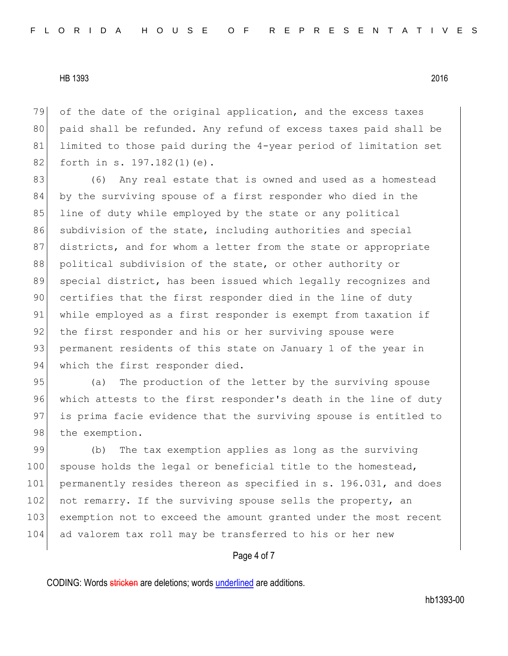79 of the date of the original application, and the excess taxes 80 paid shall be refunded. Any refund of excess taxes paid shall be 81 limited to those paid during the 4-year period of limitation set 82 forth in s. 197.182(1)(e).

83 (6) Any real estate that is owned and used as a homestead 84 by the surviving spouse of a first responder who died in the 85 line of duty while employed by the state or any political 86 subdivision of the state, including authorities and special 87 districts, and for whom a letter from the state or appropriate 88 political subdivision of the state, or other authority or 89 special district, has been issued which legally recognizes and 90 certifies that the first responder died in the line of duty 91 while employed as a first responder is exempt from taxation if 92 the first responder and his or her surviving spouse were 93 permanent residents of this state on January 1 of the year in 94 which the first responder died.

95 (a) The production of the letter by the surviving spouse 96 which attests to the first responder's death in the line of duty 97 is prima facie evidence that the surviving spouse is entitled to 98 the exemption.

99 (b) The tax exemption applies as long as the surviving 100 spouse holds the legal or beneficial title to the homestead, 101 permanently resides thereon as specified in s. 196.031, and does 102 not remarry. If the surviving spouse sells the property, an 103 exemption not to exceed the amount granted under the most recent 104 ad valorem tax roll may be transferred to his or her new

#### Page 4 of 7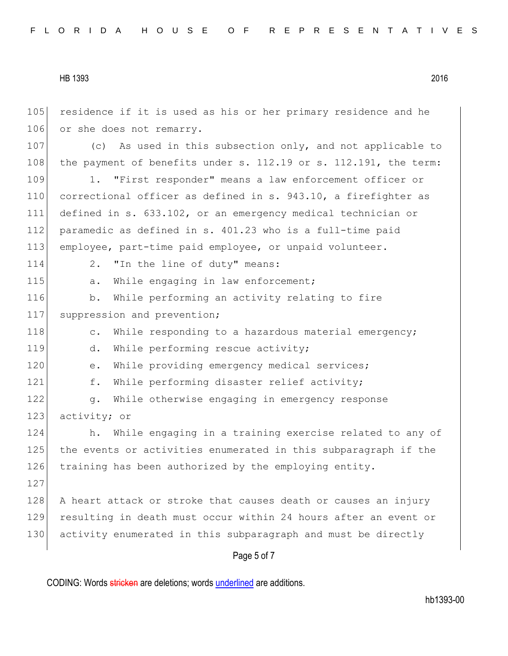Page 5 of 7 105 residence if it is used as his or her primary residence and he 106 or she does not remarry. 107 (c) As used in this subsection only, and not applicable to 108 the payment of benefits under s. 112.19 or s. 112.191, the term: 109 1. "First responder" means a law enforcement officer or 110 correctional officer as defined in s. 943.10, a firefighter as 111 defined in s. 633.102, or an emergency medical technician or 112 paramedic as defined in s. 401.23 who is a full-time paid 113 employee, part-time paid employee, or unpaid volunteer. 114 2. "In the line of duty" means: 115 a. While engaging in law enforcement; 116 b. While performing an activity relating to fire 117 suppression and prevention; 118 c. While responding to a hazardous material emergency; 119 d. While performing rescue activity; 120 e. While providing emergency medical services; 121 f. While performing disaster relief activity; 122 g. While otherwise engaging in emergency response 123 activity; or 124 h. While engaging in a training exercise related to any of 125 the events or activities enumerated in this subparagraph if the 126 training has been authorized by the employing entity. 127 128 A heart attack or stroke that causes death or causes an injury 129 resulting in death must occur within 24 hours after an event or 130 activity enumerated in this subparagraph and must be directly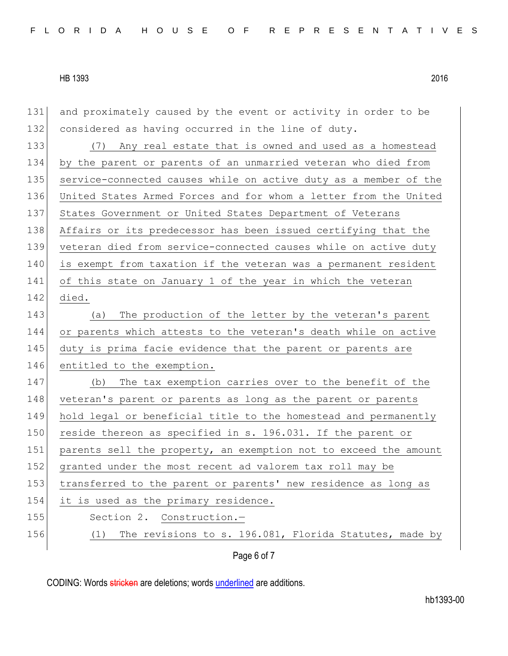| 131 | and proximately caused by the event or activity in order to be   |
|-----|------------------------------------------------------------------|
| 132 | considered as having occurred in the line of duty.               |
| 133 | (7) Any real estate that is owned and used as a homestead        |
| 134 | by the parent or parents of an unmarried veteran who died from   |
| 135 | service-connected causes while on active duty as a member of the |
| 136 | United States Armed Forces and for whom a letter from the United |
| 137 | States Government or United States Department of Veterans        |
| 138 | Affairs or its predecessor has been issued certifying that the   |
| 139 | veteran died from service-connected causes while on active duty  |
| 140 | is exempt from taxation if the veteran was a permanent resident  |
| 141 | of this state on January 1 of the year in which the veteran      |
| 142 | died.                                                            |
| 143 | The production of the letter by the veteran's parent<br>(a)      |
| 144 | or parents which attests to the veteran's death while on active  |
| 145 | duty is prima facie evidence that the parent or parents are      |
| 146 | entitled to the exemption.                                       |
| 147 | The tax exemption carries over to the benefit of the<br>(b)      |
| 148 | veteran's parent or parents as long as the parent or parents     |
| 149 | hold legal or beneficial title to the homestead and permanently  |
| 150 | reside thereon as specified in s. 196.031. If the parent or      |
| 151 | parents sell the property, an exemption not to exceed the amount |
| 152 | granted under the most recent ad valorem tax roll may be         |
| 153 | transferred to the parent or parents' new residence as long as   |
| 154 | it is used as the primary residence.                             |
| 155 | Construction.-<br>Section 2.                                     |
| 156 | The revisions to s. 196.081, Florida Statutes, made by<br>(1)    |
|     | Page 6 of 7                                                      |